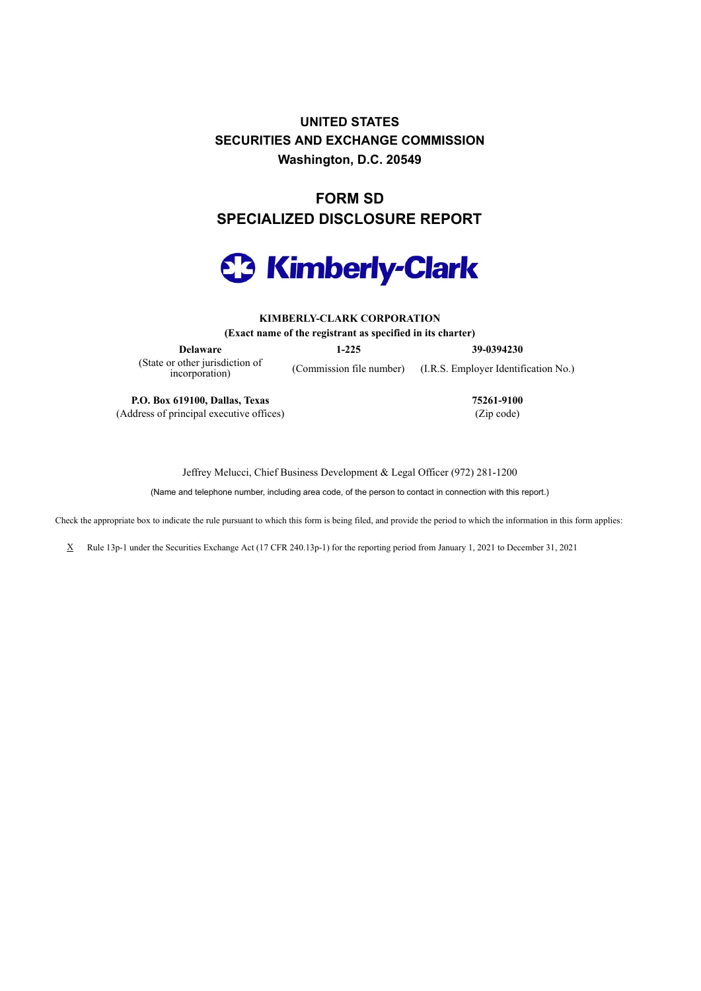**UNITED STATES SECURITIES AND EXCHANGE COMMISSION Washington, D.C. 20549**

**FORM SD SPECIALIZED DISCLOSURE REPORT**



**KIMBERLY-CLARK CORPORATION (Exact name of the registrant as specified in its charter)**

**Delaware 1-225 39-0394230** (State or other jurisdiction of incorporation)

(Commission file number) (I.R.S. Employer Identification No.)

**P.O. Box 619100, Dallas, Texas 75261-9100** (Address of principal executive offices) (Zip code)

Jeffrey Melucci, Chief Business Development & Legal Officer (972) 281-1200

(Name and telephone number, including area code, of the person to contact in connection with this report.)

Check the appropriate box to indicate the rule pursuant to which this form is being filed, and provide the period to which the information in this form applies:

X Rule 13p-1 under the Securities Exchange Act (17 CFR 240.13p-1) for the reporting period from January 1, 2021 to December 31, 2021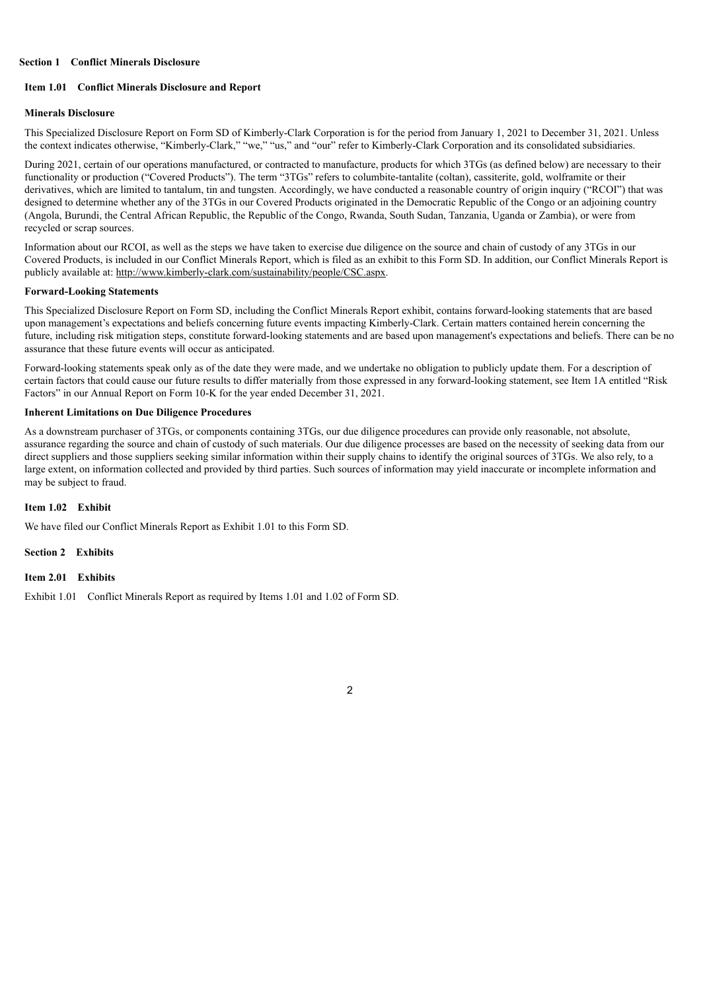#### **Section 1 Conflict Minerals Disclosure**

### **Item 1.01 Conflict Minerals Disclosure and Report**

#### **Minerals Disclosure**

This Specialized Disclosure Report on Form SD of Kimberly-Clark Corporation is for the period from January 1, 2021 to December 31, 2021. Unless the context indicates otherwise, "Kimberly-Clark," "we," "us," and "our" refer to Kimberly-Clark Corporation and its consolidated subsidiaries.

During 2021, certain of our operations manufactured, or contracted to manufacture, products for which 3TGs (as defined below) are necessary to their functionality or production ("Covered Products"). The term "3TGs" refers to columbite-tantalite (coltan), cassiterite, gold, wolframite or their derivatives, which are limited to tantalum, tin and tungsten. Accordingly, we have conducted a reasonable country of origin inquiry ("RCOI") that was designed to determine whether any of the 3TGs in our Covered Products originated in the Democratic Republic of the Congo or an adjoining country (Angola, Burundi, the Central African Republic, the Republic of the Congo, Rwanda, South Sudan, Tanzania, Uganda or Zambia), or were from recycled or scrap sources.

Information about our RCOI, as well as the steps we have taken to exercise due diligence on the source and chain of custody of any 3TGs in our Covered Products, is included in our Conflict Minerals Report, which is filed as an exhibit to this Form SD. In addition, our Conflict Minerals Report is publicly available at: http://www.kimberly-clark.com/sustainability/people/CSC.aspx.

## **Forward-Looking Statements**

This Specialized Disclosure Report on Form SD, including the Conflict Minerals Report exhibit, contains forward-looking statements that are based upon management's expectations and beliefs concerning future events impacting Kimberly-Clark. Certain matters contained herein concerning the future, including risk mitigation steps, constitute forward-looking statements and are based upon management's expectations and beliefs. There can be no assurance that these future events will occur as anticipated.

Forward-looking statements speak only as of the date they were made, and we undertake no obligation to publicly update them. For a description of certain factors that could cause our future results to differ materially from those expressed in any forward-looking statement, see Item 1A entitled "Risk Factors" in our Annual Report on Form 10-K for the year ended December 31, 2021.

## **Inherent Limitations on Due Diligence Procedures**

As a downstream purchaser of 3TGs, or components containing 3TGs, our due diligence procedures can provide only reasonable, not absolute, assurance regarding the source and chain of custody of such materials. Our due diligence processes are based on the necessity of seeking data from our direct suppliers and those suppliers seeking similar information within their supply chains to identify the original sources of 3TGs. We also rely, to a large extent, on information collected and provided by third parties. Such sources of information may yield inaccurate or incomplete information and may be subject to fraud.

# **Item 1.02 Exhibit**

We have filed our Conflict Minerals Report as Exhibit 1.01 to this Form SD.

**Section 2 Exhibits**

#### **Item 2.01 Exhibits**

Exhibit 1.01 Conflict Minerals Report as required by Items 1.01 and 1.02 of Form SD.

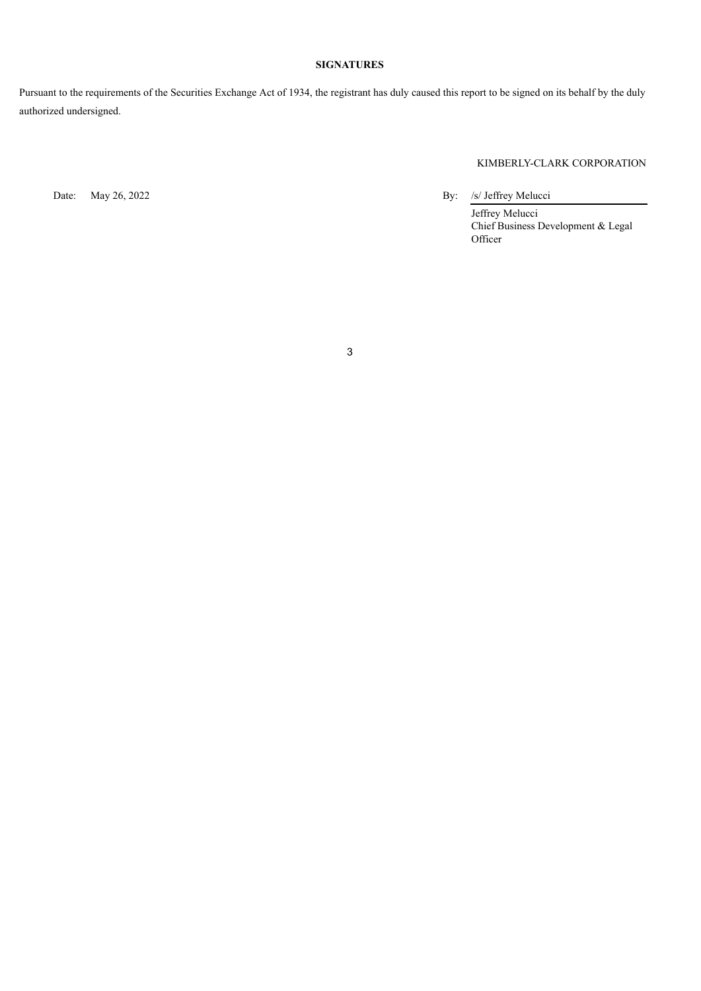# **SIGNATURES**

Pursuant to the requirements of the Securities Exchange Act of 1934, the registrant has duly caused this report to be signed on its behalf by the duly authorized undersigned.

# KIMBERLY-CLARK CORPORATION

Date: May 26, 2022 By: /s/ Jeffrey Melucci

Jeffrey Melucci Chief Business Development & Legal Officer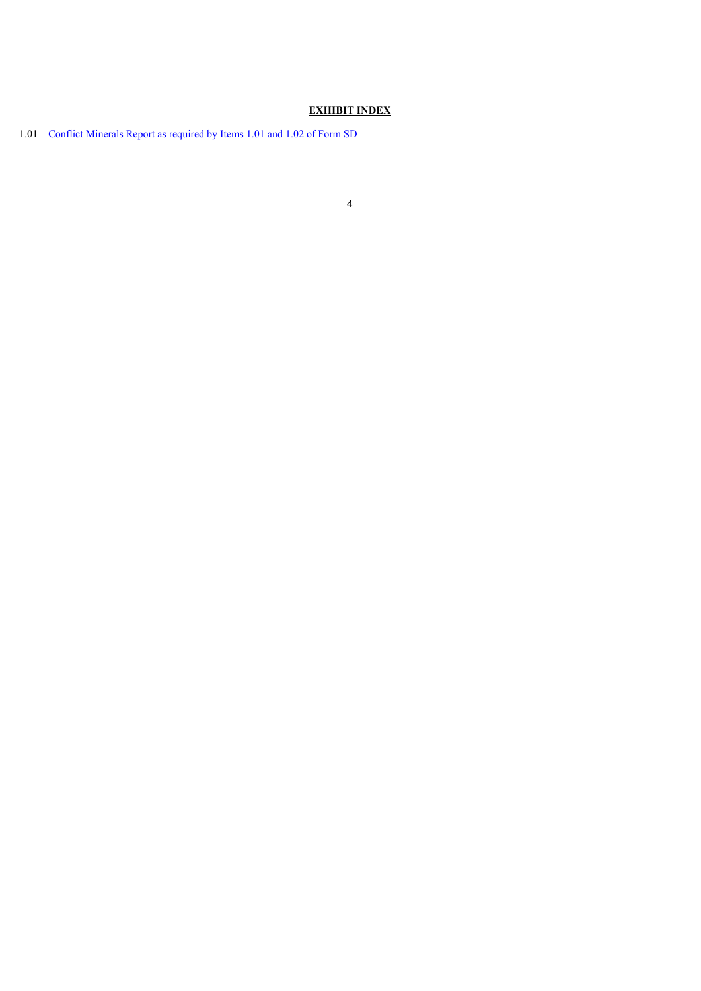# **EXHIBIT INDEX**

1.01 Conflict [Minerals](#page-4-0) Report as required by Items 1.01 and 1.02 of Form SD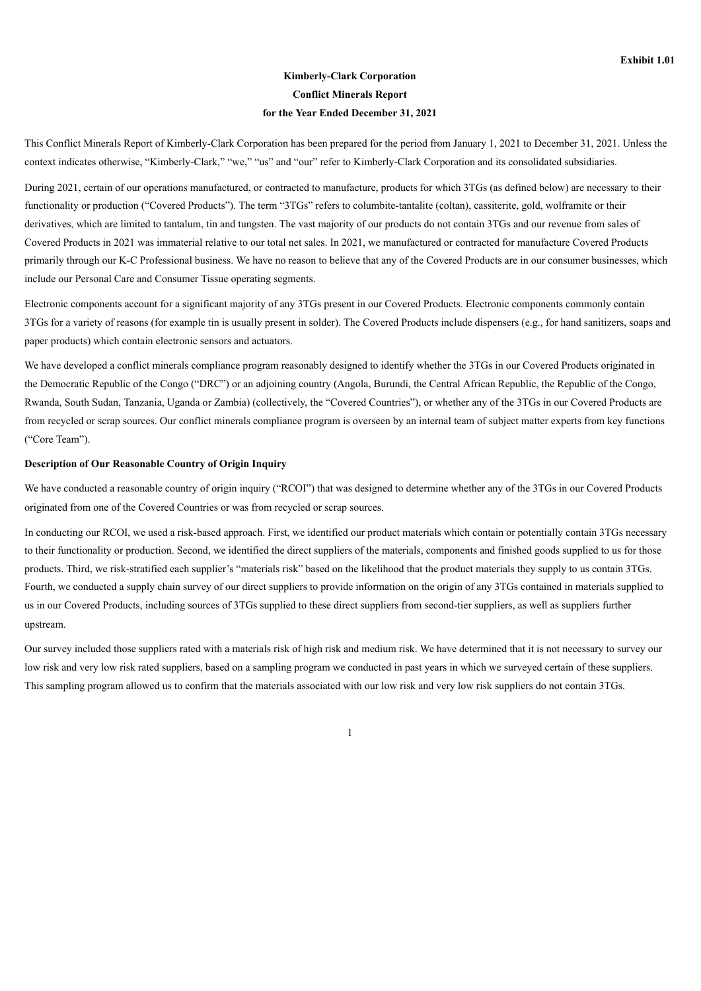# **Kimberly-Clark Corporation Conflict Minerals Report for the Year Ended December 31, 2021**

<span id="page-4-0"></span>This Conflict Minerals Report of Kimberly-Clark Corporation has been prepared for the period from January 1, 2021 to December 31, 2021. Unless the context indicates otherwise, "Kimberly-Clark," "we," "us" and "our" refer to Kimberly-Clark Corporation and its consolidated subsidiaries.

During 2021, certain of our operations manufactured, or contracted to manufacture, products for which 3TGs (as defined below) are necessary to their functionality or production ("Covered Products"). The term "3TGs" refers to columbite-tantalite (coltan), cassiterite, gold, wolframite or their derivatives, which are limited to tantalum, tin and tungsten. The vast majority of our products do not contain 3TGs and our revenue from sales of Covered Products in 2021 was immaterial relative to our total net sales. In 2021, we manufactured or contracted for manufacture Covered Products primarily through our K-C Professional business. We have no reason to believe that any of the Covered Products are in our consumer businesses, which include our Personal Care and Consumer Tissue operating segments.

Electronic components account for a significant majority of any 3TGs present in our Covered Products. Electronic components commonly contain 3TGs for a variety of reasons (for example tin is usually present in solder). The Covered Products include dispensers (e.g., for hand sanitizers, soaps and paper products) which contain electronic sensors and actuators.

We have developed a conflict minerals compliance program reasonably designed to identify whether the 3TGs in our Covered Products originated in the Democratic Republic of the Congo ("DRC") or an adjoining country (Angola, Burundi, the Central African Republic, the Republic of the Congo, Rwanda, South Sudan, Tanzania, Uganda or Zambia) (collectively, the "Covered Countries"), or whether any of the 3TGs in our Covered Products are from recycled or scrap sources. Our conflict minerals compliance program is overseen by an internal team of subject matter experts from key functions ("Core Team").

## **Description of Our Reasonable Country of Origin Inquiry**

We have conducted a reasonable country of origin inquiry ("RCOI") that was designed to determine whether any of the 3TGs in our Covered Products originated from one of the Covered Countries or was from recycled or scrap sources.

In conducting our RCOI, we used a risk-based approach. First, we identified our product materials which contain or potentially contain 3TGs necessary to their functionality or production. Second, we identified the direct suppliers of the materials, components and finished goods supplied to us for those products. Third, we risk-stratified each supplier's "materials risk" based on the likelihood that the product materials they supply to us contain 3TGs. Fourth, we conducted a supply chain survey of our direct suppliers to provide information on the origin of any 3TGs contained in materials supplied to us in our Covered Products, including sources of 3TGs supplied to these direct suppliers from second-tier suppliers, as well as suppliers further upstream.

Our survey included those suppliers rated with a materials risk of high risk and medium risk. We have determined that it is not necessary to survey our low risk and very low risk rated suppliers, based on a sampling program we conducted in past years in which we surveyed certain of these suppliers. This sampling program allowed us to confirm that the materials associated with our low risk and very low risk suppliers do not contain 3TGs.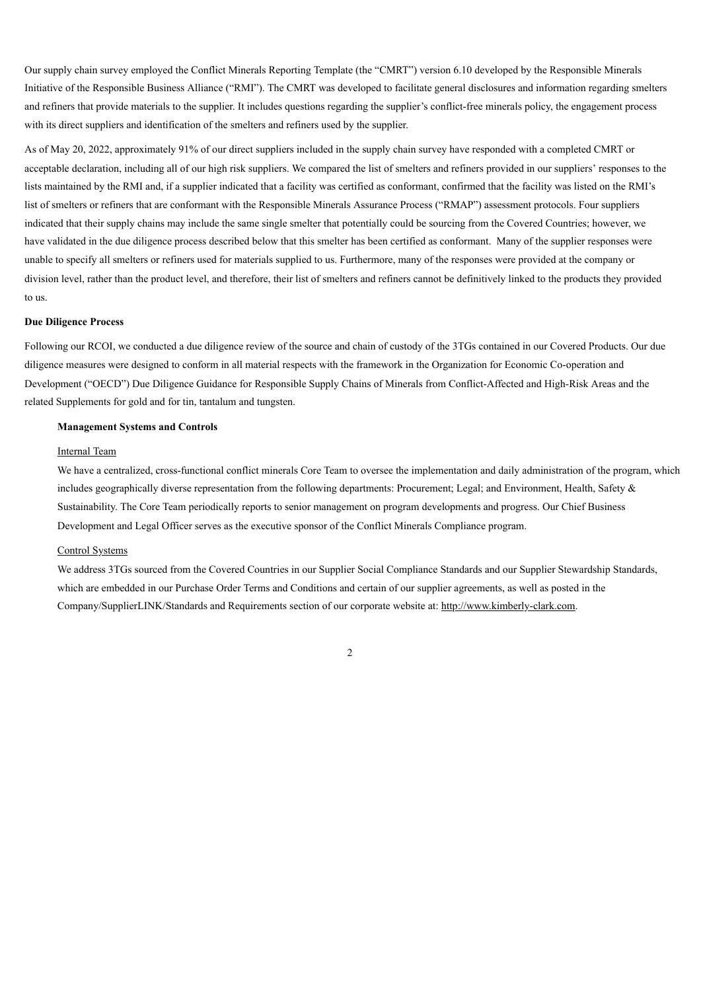Our supply chain survey employed the Conflict Minerals Reporting Template (the "CMRT") version 6.10 developed by the Responsible Minerals Initiative of the Responsible Business Alliance ("RMI"). The CMRT was developed to facilitate general disclosures and information regarding smelters and refiners that provide materials to the supplier. It includes questions regarding the supplier's conflict-free minerals policy, the engagement process with its direct suppliers and identification of the smelters and refiners used by the supplier.

As of May 20, 2022, approximately 91% of our direct suppliers included in the supply chain survey have responded with a completed CMRT or acceptable declaration, including all of our high risk suppliers. We compared the list of smelters and refiners provided in our suppliers' responses to the lists maintained by the RMI and, if a supplier indicated that a facility was certified as conformant, confirmed that the facility was listed on the RMI's list of smelters or refiners that are conformant with the Responsible Minerals Assurance Process ("RMAP") assessment protocols. Four suppliers indicated that their supply chains may include the same single smelter that potentially could be sourcing from the Covered Countries; however, we have validated in the due diligence process described below that this smelter has been certified as conformant. Many of the supplier responses were unable to specify all smelters or refiners used for materials supplied to us. Furthermore, many of the responses were provided at the company or division level, rather than the product level, and therefore, their list of smelters and refiners cannot be definitively linked to the products they provided to us

#### **Due Diligence Process**

Following our RCOI, we conducted a due diligence review of the source and chain of custody of the 3TGs contained in our Covered Products. Our due diligence measures were designed to conform in all material respects with the framework in the Organization for Economic Co-operation and Development ("OECD") Due Diligence Guidance for Responsible Supply Chains of Minerals from Conflict-Affected and High-Risk Areas and the related Supplements for gold and for tin, tantalum and tungsten.

#### **Management Systems and Controls**

#### Internal Team

We have a centralized, cross-functional conflict minerals Core Team to oversee the implementation and daily administration of the program, which includes geographically diverse representation from the following departments: Procurement; Legal; and Environment, Health, Safety & Sustainability. The Core Team periodically reports to senior management on program developments and progress. Our Chief Business Development and Legal Officer serves as the executive sponsor of the Conflict Minerals Compliance program.

#### Control Systems

We address 3TGs sourced from the Covered Countries in our Supplier Social Compliance Standards and our Supplier Stewardship Standards, which are embedded in our Purchase Order Terms and Conditions and certain of our supplier agreements, as well as posted in the Company/SupplierLINK/Standards and Requirements section of our corporate website at: http://www.kimberly-clark.com.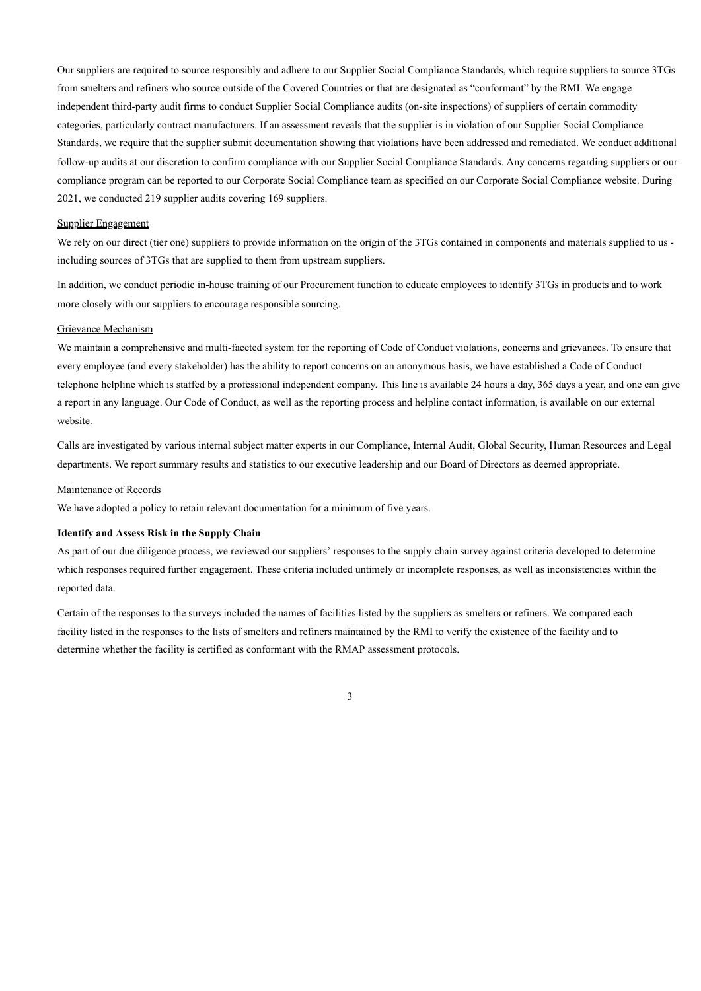Our suppliers are required to source responsibly and adhere to our Supplier Social Compliance Standards, which require suppliers to source 3TGs from smelters and refiners who source outside of the Covered Countries or that are designated as "conformant" by the RMI. We engage independent third-party audit firms to conduct Supplier Social Compliance audits (on-site inspections) of suppliers of certain commodity categories, particularly contract manufacturers. If an assessment reveals that the supplier is in violation of our Supplier Social Compliance Standards, we require that the supplier submit documentation showing that violations have been addressed and remediated. We conduct additional follow-up audits at our discretion to confirm compliance with our Supplier Social Compliance Standards. Any concerns regarding suppliers or our compliance program can be reported to our Corporate Social Compliance team as specified on our Corporate Social Compliance website. During 2021, we conducted 219 supplier audits covering 169 suppliers.

## Supplier Engagement

We rely on our direct (tier one) suppliers to provide information on the origin of the 3TGs contained in components and materials supplied to us including sources of 3TGs that are supplied to them from upstream suppliers.

In addition, we conduct periodic in-house training of our Procurement function to educate employees to identify 3TGs in products and to work more closely with our suppliers to encourage responsible sourcing.

## Grievance Mechanism

We maintain a comprehensive and multi-faceted system for the reporting of Code of Conduct violations, concerns and grievances. To ensure that every employee (and every stakeholder) has the ability to report concerns on an anonymous basis, we have established a Code of Conduct telephone helpline which is staffed by a professional independent company. This line is available 24 hours a day, 365 days a year, and one can give a report in any language. Our Code of Conduct, as well as the reporting process and helpline contact information, is available on our external website.

Calls are investigated by various internal subject matter experts in our Compliance, Internal Audit, Global Security, Human Resources and Legal departments. We report summary results and statistics to our executive leadership and our Board of Directors as deemed appropriate.

#### Maintenance of Records

We have adopted a policy to retain relevant documentation for a minimum of five years.

## **Identify and Assess Risk in the Supply Chain**

As part of our due diligence process, we reviewed our suppliers' responses to the supply chain survey against criteria developed to determine which responses required further engagement. These criteria included untimely or incomplete responses, as well as inconsistencies within the reported data.

Certain of the responses to the surveys included the names of facilities listed by the suppliers as smelters or refiners. We compared each facility listed in the responses to the lists of smelters and refiners maintained by the RMI to verify the existence of the facility and to determine whether the facility is certified as conformant with the RMAP assessment protocols.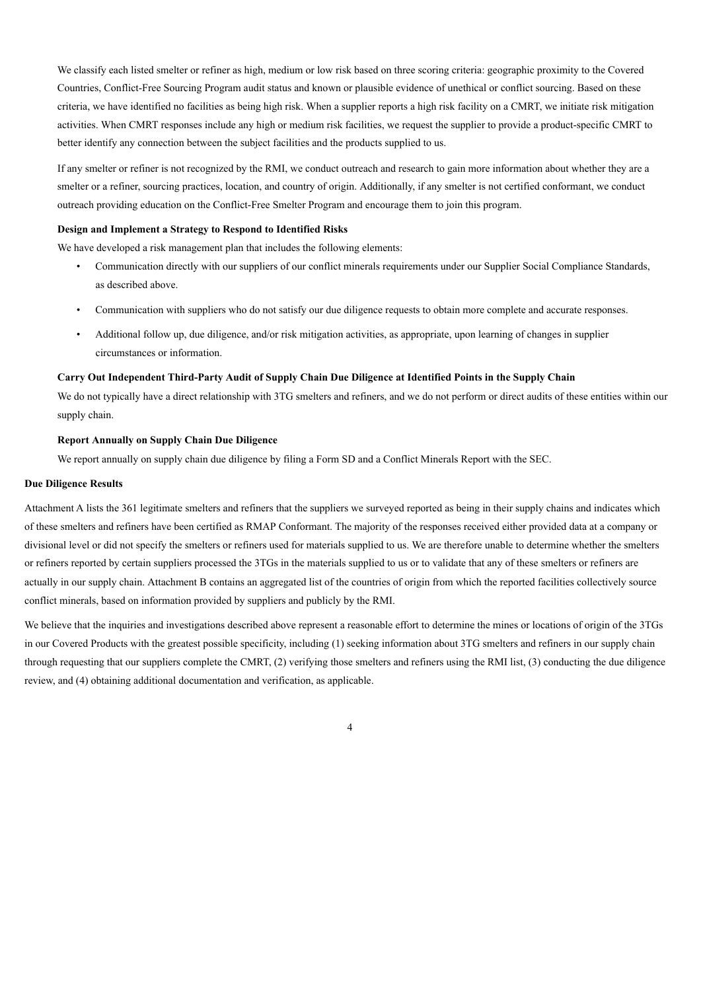We classify each listed smelter or refiner as high, medium or low risk based on three scoring criteria: geographic proximity to the Covered Countries, Conflict-Free Sourcing Program audit status and known or plausible evidence of unethical or conflict sourcing. Based on these criteria, we have identified no facilities as being high risk. When a supplier reports a high risk facility on a CMRT, we initiate risk mitigation activities. When CMRT responses include any high or medium risk facilities, we request the supplier to provide a product-specific CMRT to better identify any connection between the subject facilities and the products supplied to us.

If any smelter or refiner is not recognized by the RMI, we conduct outreach and research to gain more information about whether they are a smelter or a refiner, sourcing practices, location, and country of origin. Additionally, if any smelter is not certified conformant, we conduct outreach providing education on the Conflict-Free Smelter Program and encourage them to join this program.

#### **Design and Implement a Strategy to Respond to Identified Risks**

We have developed a risk management plan that includes the following elements:

- Communication directly with our suppliers of our conflict minerals requirements under our Supplier Social Compliance Standards, as described above.
- Communication with suppliers who do not satisfy our due diligence requests to obtain more complete and accurate responses.
- Additional follow up, due diligence, and/or risk mitigation activities, as appropriate, upon learning of changes in supplier circumstances or information.

## Carry Out Independent Third-Party Audit of Supply Chain Due Diligence at Identified Points in the Supply Chain

We do not typically have a direct relationship with 3TG smelters and refiners, and we do not perform or direct audits of these entities within our supply chain.

#### **Report Annually on Supply Chain Due Diligence**

We report annually on supply chain due diligence by filing a Form SD and a Conflict Minerals Report with the SEC.

## **Due Diligence Results**

Attachment A lists the 361 legitimate smelters and refiners that the suppliers we surveyed reported as being in their supply chains and indicates which of these smelters and refiners have been certified as RMAP Conformant. The majority of the responses received either provided data at a company or divisional level or did not specify the smelters or refiners used for materials supplied to us. We are therefore unable to determine whether the smelters or refiners reported by certain suppliers processed the 3TGs in the materials supplied to us or to validate that any of these smelters or refiners are actually in our supply chain. Attachment B contains an aggregated list of the countries of origin from which the reported facilities collectively source conflict minerals, based on information provided by suppliers and publicly by the RMI.

We believe that the inquiries and investigations described above represent a reasonable effort to determine the mines or locations of origin of the 3TGs in our Covered Products with the greatest possible specificity, including (1) seeking information about 3TG smelters and refiners in our supply chain through requesting that our suppliers complete the CMRT, (2) verifying those smelters and refiners using the RMI list, (3) conducting the due diligence review, and (4) obtaining additional documentation and verification, as applicable.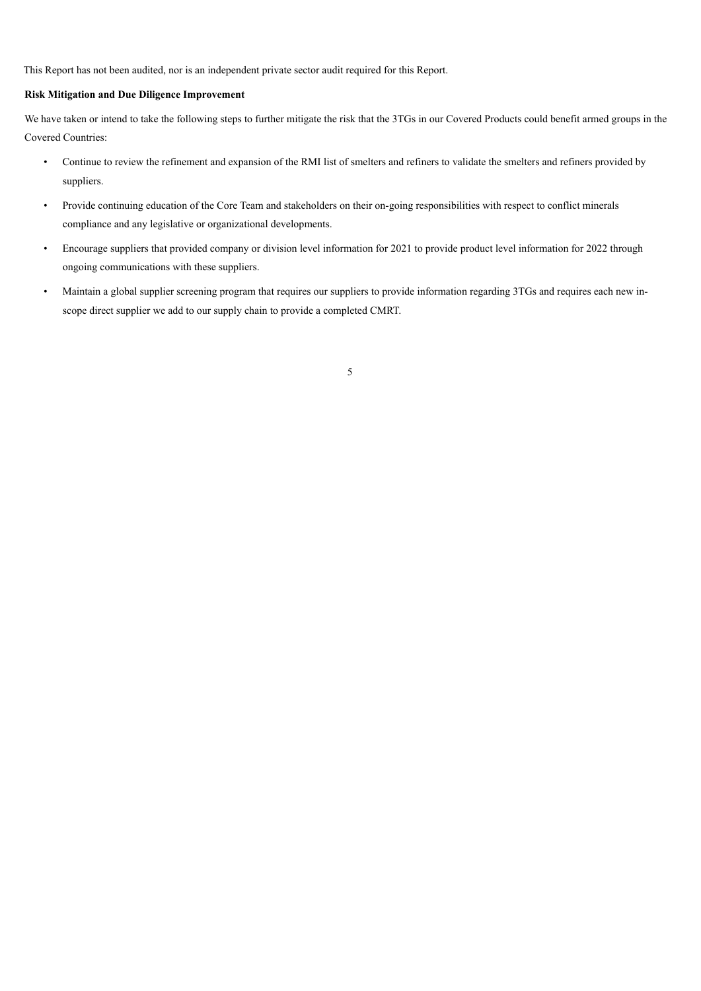This Report has not been audited, nor is an independent private sector audit required for this Report.

## **Risk Mitigation and Due Diligence Improvement**

We have taken or intend to take the following steps to further mitigate the risk that the 3TGs in our Covered Products could benefit armed groups in the Covered Countries:

- Continue to review the refinement and expansion of the RMI list of smelters and refiners to validate the smelters and refiners provided by suppliers.
- Provide continuing education of the Core Team and stakeholders on their on-going responsibilities with respect to conflict minerals compliance and any legislative or organizational developments.
- Encourage suppliers that provided company or division level information for 2021 to provide product level information for 2022 through ongoing communications with these suppliers.
- Maintain a global supplier screening program that requires our suppliers to provide information regarding 3TGs and requires each new inscope direct supplier we add to our supply chain to provide a completed CMRT.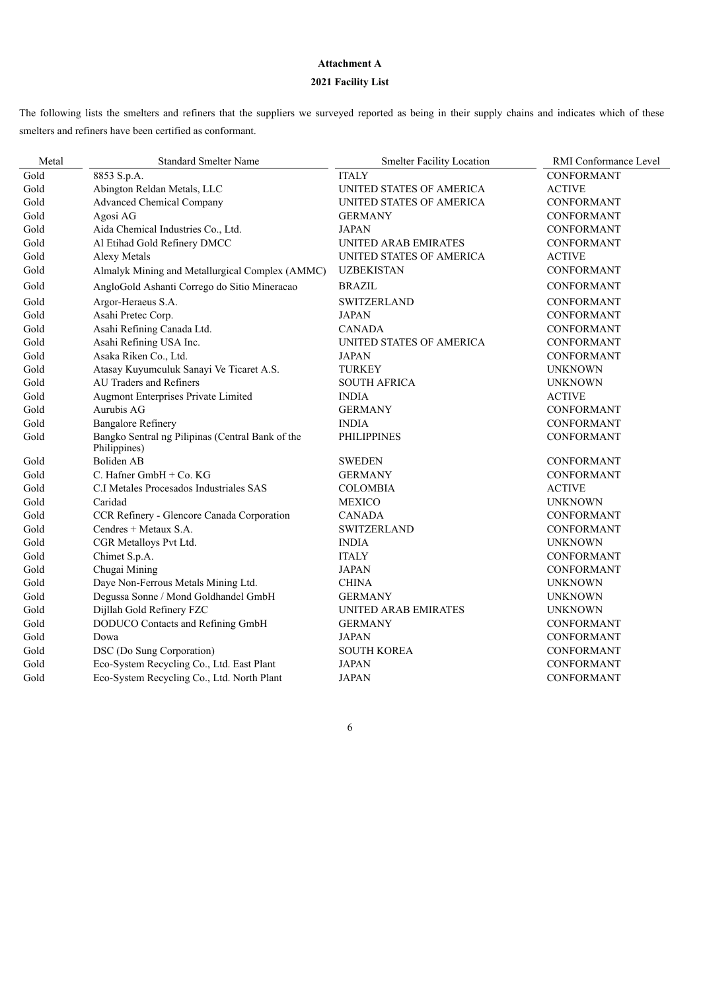# **Attachment A**

# **2021 Facility List**

The following lists the smelters and refiners that the suppliers we surveyed reported as being in their supply chains and indicates which of these smelters and refiners have been certified as conformant.

| Metal | <b>Standard Smelter Name</b>                                     | <b>Smelter Facility Location</b> | RMI Conformance Level |
|-------|------------------------------------------------------------------|----------------------------------|-----------------------|
| Gold  | 8853 S.p.A.                                                      | <b>ITALY</b>                     | <b>CONFORMANT</b>     |
| Gold  | Abington Reldan Metals, LLC                                      | UNITED STATES OF AMERICA         | <b>ACTIVE</b>         |
| Gold  | <b>Advanced Chemical Company</b>                                 | UNITED STATES OF AMERICA         | <b>CONFORMANT</b>     |
| Gold  | Agosi AG                                                         | <b>GERMANY</b>                   | CONFORMANT            |
| Gold  | Aida Chemical Industries Co., Ltd.                               | <b>JAPAN</b>                     | CONFORMANT            |
| Gold  | Al Etihad Gold Refinery DMCC                                     | UNITED ARAB EMIRATES             | <b>CONFORMANT</b>     |
| Gold  | Alexy Metals                                                     | UNITED STATES OF AMERICA         | <b>ACTIVE</b>         |
| Gold  | Almalyk Mining and Metallurgical Complex (AMMC)                  | <b>UZBEKISTAN</b>                | CONFORMANT            |
| Gold  | AngloGold Ashanti Corrego do Sitio Mineracao                     | <b>BRAZIL</b>                    | CONFORMANT            |
| Gold  | Argor-Heraeus S.A.                                               | <b>SWITZERLAND</b>               | <b>CONFORMANT</b>     |
| Gold  | Asahi Pretec Corp.                                               | <b>JAPAN</b>                     | <b>CONFORMANT</b>     |
| Gold  | Asahi Refining Canada Ltd.                                       | <b>CANADA</b>                    | <b>CONFORMANT</b>     |
| Gold  | Asahi Refining USA Inc.                                          | UNITED STATES OF AMERICA         | <b>CONFORMANT</b>     |
| Gold  | Asaka Riken Co., Ltd.                                            | <b>JAPAN</b>                     | <b>CONFORMANT</b>     |
| Gold  | Atasay Kuyumculuk Sanayi Ve Ticaret A.S.                         | <b>TURKEY</b>                    | <b>UNKNOWN</b>        |
| Gold  | <b>AU Traders and Refiners</b>                                   | <b>SOUTH AFRICA</b>              | <b>UNKNOWN</b>        |
| Gold  | Augmont Enterprises Private Limited                              | <b>INDIA</b>                     | <b>ACTIVE</b>         |
| Gold  | Aurubis AG                                                       | <b>GERMANY</b>                   | <b>CONFORMANT</b>     |
| Gold  | <b>Bangalore Refinery</b>                                        | <b>INDIA</b>                     | CONFORMANT            |
| Gold  | Bangko Sentral ng Pilipinas (Central Bank of the<br>Philippines) | <b>PHILIPPINES</b>               | <b>CONFORMANT</b>     |
| Gold  | Boliden AB                                                       | SWEDEN                           | <b>CONFORMANT</b>     |
| Gold  | C. Hafner GmbH + Co. KG                                          | <b>GERMANY</b>                   | <b>CONFORMANT</b>     |
| Gold  | C.I Metales Procesados Industriales SAS                          | <b>COLOMBIA</b>                  | <b>ACTIVE</b>         |
| Gold  | Caridad                                                          | <b>MEXICO</b>                    | <b>UNKNOWN</b>        |
| Gold  | CCR Refinery - Glencore Canada Corporation                       | <b>CANADA</b>                    | <b>CONFORMANT</b>     |
| Gold  | Cendres + Metaux S.A.                                            | <b>SWITZERLAND</b>               | <b>CONFORMANT</b>     |
| Gold  | CGR Metalloys Pvt Ltd.                                           | <b>INDIA</b>                     | <b>UNKNOWN</b>        |
| Gold  | Chimet S.p.A.                                                    | <b>ITALY</b>                     | CONFORMANT            |
| Gold  | Chugai Mining                                                    | <b>JAPAN</b>                     | <b>CONFORMANT</b>     |
| Gold  | Daye Non-Ferrous Metals Mining Ltd.                              | <b>CHINA</b>                     | <b>UNKNOWN</b>        |
| Gold  | Degussa Sonne / Mond Goldhandel GmbH                             | <b>GERMANY</b>                   | <b>UNKNOWN</b>        |
| Gold  | Dijllah Gold Refinery FZC                                        | <b>UNITED ARAB EMIRATES</b>      | <b>UNKNOWN</b>        |
| Gold  | DODUCO Contacts and Refining GmbH                                | <b>GERMANY</b>                   | CONFORMANT            |
| Gold  | Dowa                                                             | <b>JAPAN</b>                     | <b>CONFORMANT</b>     |
| Gold  | DSC (Do Sung Corporation)                                        | <b>SOUTH KOREA</b>               | <b>CONFORMANT</b>     |
| Gold  | Eco-System Recycling Co., Ltd. East Plant                        | <b>JAPAN</b>                     | <b>CONFORMANT</b>     |
| Gold  | Eco-System Recycling Co., Ltd. North Plant                       | <b>JAPAN</b>                     | <b>CONFORMANT</b>     |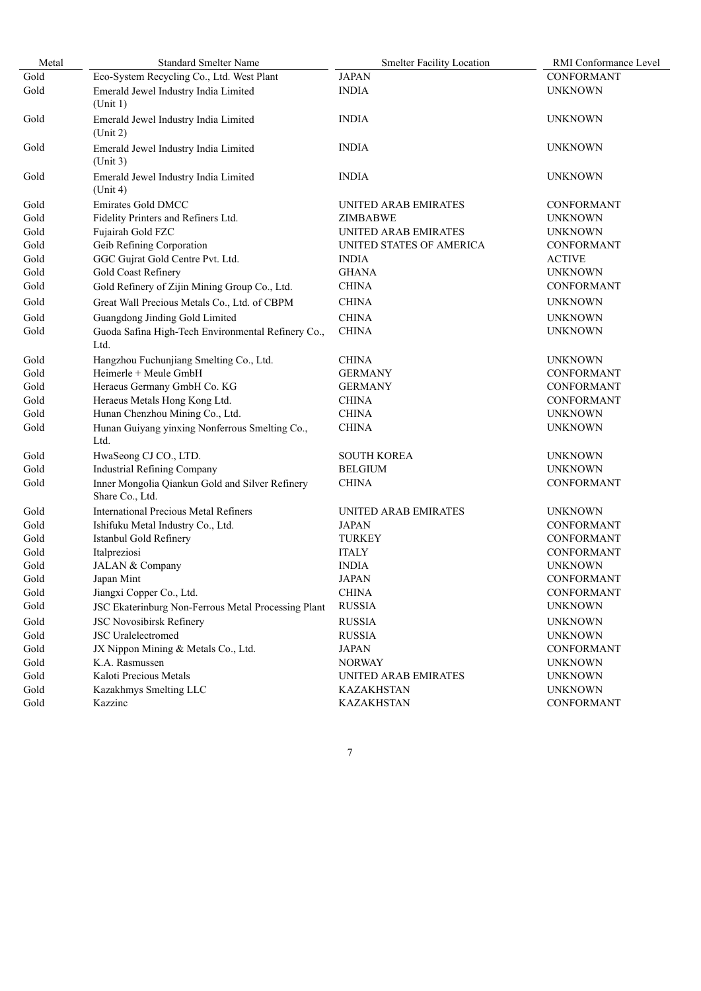| Metal | <b>Standard Smelter Name</b>                                       | <b>Smelter Facility Location</b> | RMI Conformance Level |
|-------|--------------------------------------------------------------------|----------------------------------|-----------------------|
| Gold  | Eco-System Recycling Co., Ltd. West Plant                          | <b>JAPAN</b>                     | CONFORMANT            |
| Gold  | Emerald Jewel Industry India Limited<br>(Unit 1)                   | <b>INDIA</b>                     | <b>UNKNOWN</b>        |
| Gold  | Emerald Jewel Industry India Limited<br>(Unit 2)                   | <b>INDIA</b>                     | <b>UNKNOWN</b>        |
| Gold  | Emerald Jewel Industry India Limited<br>(Unit 3)                   | <b>INDIA</b>                     | <b>UNKNOWN</b>        |
| Gold  | Emerald Jewel Industry India Limited<br>(Unit 4)                   | <b>INDIA</b>                     | <b>UNKNOWN</b>        |
| Gold  | <b>Emirates Gold DMCC</b>                                          | UNITED ARAB EMIRATES             | <b>CONFORMANT</b>     |
| Gold  | Fidelity Printers and Refiners Ltd.                                | <b>ZIMBABWE</b>                  | <b>UNKNOWN</b>        |
| Gold  | Fujairah Gold FZC                                                  | UNITED ARAB EMIRATES             | <b>UNKNOWN</b>        |
| Gold  | Geib Refining Corporation                                          | UNITED STATES OF AMERICA         | <b>CONFORMANT</b>     |
| Gold  | GGC Gujrat Gold Centre Pvt. Ltd.                                   | <b>INDIA</b>                     | <b>ACTIVE</b>         |
| Gold  | Gold Coast Refinery                                                | <b>GHANA</b>                     | <b>UNKNOWN</b>        |
| Gold  | Gold Refinery of Zijin Mining Group Co., Ltd.                      | <b>CHINA</b>                     | <b>CONFORMANT</b>     |
| Gold  | Great Wall Precious Metals Co., Ltd. of CBPM                       | <b>CHINA</b>                     | <b>UNKNOWN</b>        |
| Gold  | Guangdong Jinding Gold Limited                                     | <b>CHINA</b>                     | <b>UNKNOWN</b>        |
| Gold  | Guoda Safina High-Tech Environmental Refinery Co.,                 | <b>CHINA</b>                     | <b>UNKNOWN</b>        |
|       | Ltd.                                                               |                                  |                       |
| Gold  | Hangzhou Fuchunjiang Smelting Co., Ltd.                            | <b>CHINA</b>                     | <b>UNKNOWN</b>        |
| Gold  | Heimerle + Meule GmbH                                              | <b>GERMANY</b>                   | CONFORMANT            |
| Gold  | Heraeus Germany GmbH Co. KG                                        | <b>GERMANY</b>                   | <b>CONFORMANT</b>     |
| Gold  | Heraeus Metals Hong Kong Ltd.                                      | <b>CHINA</b>                     | CONFORMANT            |
| Gold  | Hunan Chenzhou Mining Co., Ltd.                                    | <b>CHINA</b>                     | <b>UNKNOWN</b>        |
| Gold  | Hunan Guiyang yinxing Nonferrous Smelting Co.,<br>Ltd.             | <b>CHINA</b>                     | <b>UNKNOWN</b>        |
| Gold  | HwaSeong CJ CO., LTD.                                              | <b>SOUTH KOREA</b>               | <b>UNKNOWN</b>        |
| Gold  | <b>Industrial Refining Company</b>                                 | <b>BELGIUM</b>                   | <b>UNKNOWN</b>        |
| Gold  | Inner Mongolia Qiankun Gold and Silver Refinery<br>Share Co., Ltd. | <b>CHINA</b>                     | CONFORMANT            |
| Gold  | <b>International Precious Metal Refiners</b>                       | UNITED ARAB EMIRATES             | <b>UNKNOWN</b>        |
| Gold  | Ishifuku Metal Industry Co., Ltd.                                  | <b>JAPAN</b>                     | CONFORMANT            |
| Gold  | Istanbul Gold Refinery                                             | <b>TURKEY</b>                    | CONFORMANT            |
| Gold  | Italpreziosi                                                       | <b>ITALY</b>                     | CONFORMANT            |
| Gold  | JALAN & Company                                                    | <b>INDIA</b>                     | <b>UNKNOWN</b>        |
| Gold  | Japan Mint                                                         | <b>JAPAN</b>                     | <b>CONFORMANT</b>     |
| Gold  | Jiangxi Copper Co., Ltd.                                           | <b>CHINA</b>                     | CONFORMANT            |
| Gold  | JSC Ekaterinburg Non-Ferrous Metal Processing Plant                | <b>RUSSIA</b>                    | <b>UNKNOWN</b>        |
| Gold  | <b>JSC Novosibirsk Refinery</b>                                    | <b>RUSSIA</b>                    | <b>UNKNOWN</b>        |
| Gold  | <b>JSC</b> Uralelectromed                                          | <b>RUSSIA</b>                    | <b>UNKNOWN</b>        |
| Gold  | JX Nippon Mining & Metals Co., Ltd.                                | <b>JAPAN</b>                     | CONFORMANT            |
| Gold  | K.A. Rasmussen                                                     | <b>NORWAY</b>                    | <b>UNKNOWN</b>        |
| Gold  | Kaloti Precious Metals                                             | UNITED ARAB EMIRATES             | <b>UNKNOWN</b>        |
| Gold  | Kazakhmys Smelting LLC                                             | <b>KAZAKHSTAN</b>                | <b>UNKNOWN</b>        |
| Gold  | Kazzinc                                                            | <b>KAZAKHSTAN</b>                | CONFORMANT            |
|       |                                                                    |                                  |                       |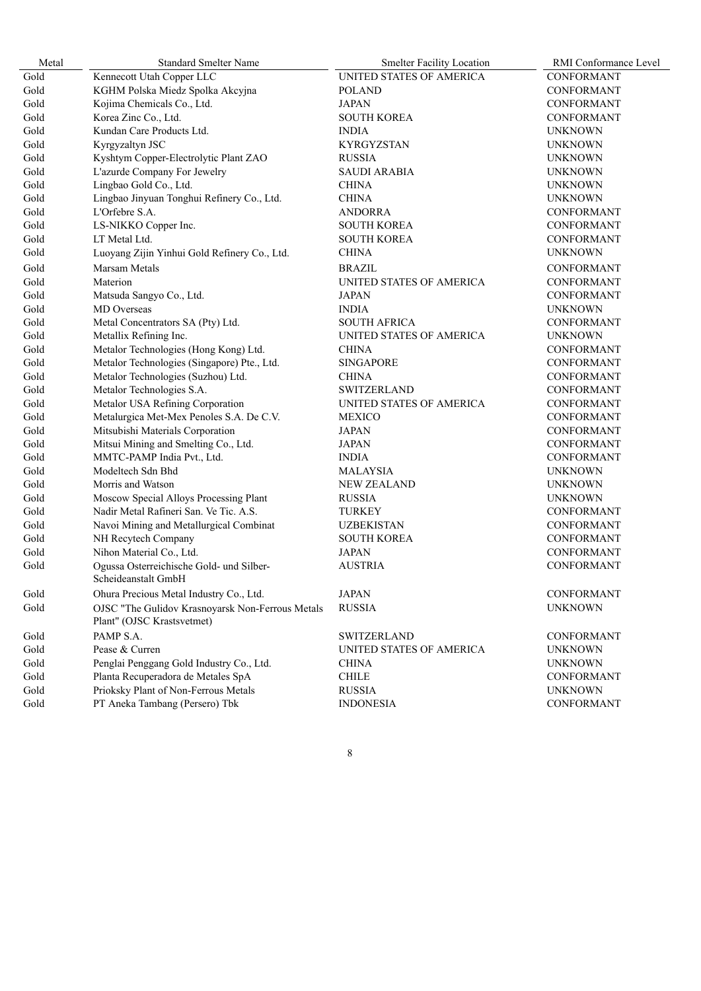| Metal | <b>Standard Smelter Name</b>                                    | <b>Smelter Facility Location</b> | RMI Conformance Level |
|-------|-----------------------------------------------------------------|----------------------------------|-----------------------|
| Gold  | Kennecott Utah Copper LLC                                       | UNITED STATES OF AMERICA         | CONFORMANT            |
| Gold  | KGHM Polska Miedz Spolka Akcyjna                                | <b>POLAND</b>                    | CONFORMANT            |
| Gold  | Kojima Chemicals Co., Ltd.                                      | <b>JAPAN</b>                     | <b>CONFORMANT</b>     |
| Gold  | Korea Zinc Co., Ltd.                                            | <b>SOUTH KOREA</b>               | CONFORMANT            |
| Gold  | Kundan Care Products Ltd.                                       | <b>INDIA</b>                     | <b>UNKNOWN</b>        |
| Gold  | Kyrgyzaltyn JSC                                                 | <b>KYRGYZSTAN</b>                | <b>UNKNOWN</b>        |
| Gold  | Kyshtym Copper-Electrolytic Plant ZAO                           | <b>RUSSIA</b>                    | <b>UNKNOWN</b>        |
| Gold  | L'azurde Company For Jewelry                                    | <b>SAUDI ARABIA</b>              | <b>UNKNOWN</b>        |
| Gold  | Lingbao Gold Co., Ltd.                                          | <b>CHINA</b>                     | <b>UNKNOWN</b>        |
| Gold  | Lingbao Jinyuan Tonghui Refinery Co., Ltd.                      | <b>CHINA</b>                     | <b>UNKNOWN</b>        |
| Gold  | L'Orfebre S.A.                                                  | <b>ANDORRA</b>                   | <b>CONFORMANT</b>     |
| Gold  | LS-NIKKO Copper Inc.                                            | <b>SOUTH KOREA</b>               | <b>CONFORMANT</b>     |
| Gold  | LT Metal Ltd.                                                   | <b>SOUTH KOREA</b>               | CONFORMANT            |
| Gold  | Luoyang Zijin Yinhui Gold Refinery Co., Ltd.                    | <b>CHINA</b>                     | <b>UNKNOWN</b>        |
| Gold  | Marsam Metals                                                   | <b>BRAZIL</b>                    | CONFORMANT            |
| Gold  | Materion                                                        | UNITED STATES OF AMERICA         | <b>CONFORMANT</b>     |
| Gold  | Matsuda Sangyo Co., Ltd.                                        | <b>JAPAN</b>                     | CONFORMANT            |
| Gold  | MD Overseas                                                     | <b>INDIA</b>                     | <b>UNKNOWN</b>        |
| Gold  | Metal Concentrators SA (Pty) Ltd.                               | <b>SOUTH AFRICA</b>              | <b>CONFORMANT</b>     |
| Gold  | Metallix Refining Inc.                                          | UNITED STATES OF AMERICA         | <b>UNKNOWN</b>        |
| Gold  | Metalor Technologies (Hong Kong) Ltd.                           | <b>CHINA</b>                     | <b>CONFORMANT</b>     |
| Gold  | Metalor Technologies (Singapore) Pte., Ltd.                     | <b>SINGAPORE</b>                 | CONFORMANT            |
| Gold  | Metalor Technologies (Suzhou) Ltd.                              | <b>CHINA</b>                     | <b>CONFORMANT</b>     |
| Gold  | Metalor Technologies S.A.                                       | <b>SWITZERLAND</b>               | <b>CONFORMANT</b>     |
| Gold  | Metalor USA Refining Corporation                                | UNITED STATES OF AMERICA         | CONFORMANT            |
| Gold  | Metalurgica Met-Mex Penoles S.A. De C.V.                        | <b>MEXICO</b>                    | <b>CONFORMANT</b>     |
| Gold  | Mitsubishi Materials Corporation                                | JAPAN                            | <b>CONFORMANT</b>     |
| Gold  | Mitsui Mining and Smelting Co., Ltd.                            | <b>JAPAN</b>                     | <b>CONFORMANT</b>     |
| Gold  | MMTC-PAMP India Pvt., Ltd.                                      | <b>INDIA</b>                     | <b>CONFORMANT</b>     |
| Gold  | Modeltech Sdn Bhd                                               | <b>MALAYSIA</b>                  | <b>UNKNOWN</b>        |
| Gold  | Morris and Watson                                               | <b>NEW ZEALAND</b>               | <b>UNKNOWN</b>        |
| Gold  | Moscow Special Alloys Processing Plant                          | <b>RUSSIA</b>                    | <b>UNKNOWN</b>        |
| Gold  | Nadir Metal Rafineri San. Ve Tic. A.S.                          | <b>TURKEY</b>                    | CONFORMANT            |
| Gold  | Navoi Mining and Metallurgical Combinat                         | <b>UZBEKISTAN</b>                | <b>CONFORMANT</b>     |
| Gold  | NH Recytech Company                                             | <b>SOUTH KOREA</b>               | CONFORMANT            |
| Gold  | Nihon Material Co., Ltd.                                        | <b>JAPAN</b>                     | CONFORMANT            |
| Gold  | Ogussa Osterreichische Gold- und Silber-<br>Scheideanstalt GmbH | <b>AUSTRIA</b>                   | CONFORMANT            |
| Gold  | Ohura Precious Metal Industry Co., Ltd.                         | <b>JAPAN</b>                     | CONFORMANT            |
| Gold  | OJSC "The Gulidov Krasnoyarsk Non-Ferrous Metals                | <b>RUSSIA</b>                    | <b>UNKNOWN</b>        |
|       | Plant" (OJSC Krastsvetmet)                                      |                                  |                       |
| Gold  | PAMP S.A.                                                       | <b>SWITZERLAND</b>               | <b>CONFORMANT</b>     |
| Gold  | Pease & Curren                                                  | UNITED STATES OF AMERICA         | <b>UNKNOWN</b>        |
| Gold  | Penglai Penggang Gold Industry Co., Ltd.                        | <b>CHINA</b>                     | <b>UNKNOWN</b>        |
| Gold  | Planta Recuperadora de Metales SpA                              | <b>CHILE</b>                     | CONFORMANT            |
| Gold  | Prioksky Plant of Non-Ferrous Metals                            | <b>RUSSIA</b>                    | <b>UNKNOWN</b>        |
| Gold  | PT Aneka Tambang (Persero) Tbk                                  | <b>INDONESIA</b>                 | CONFORMANT            |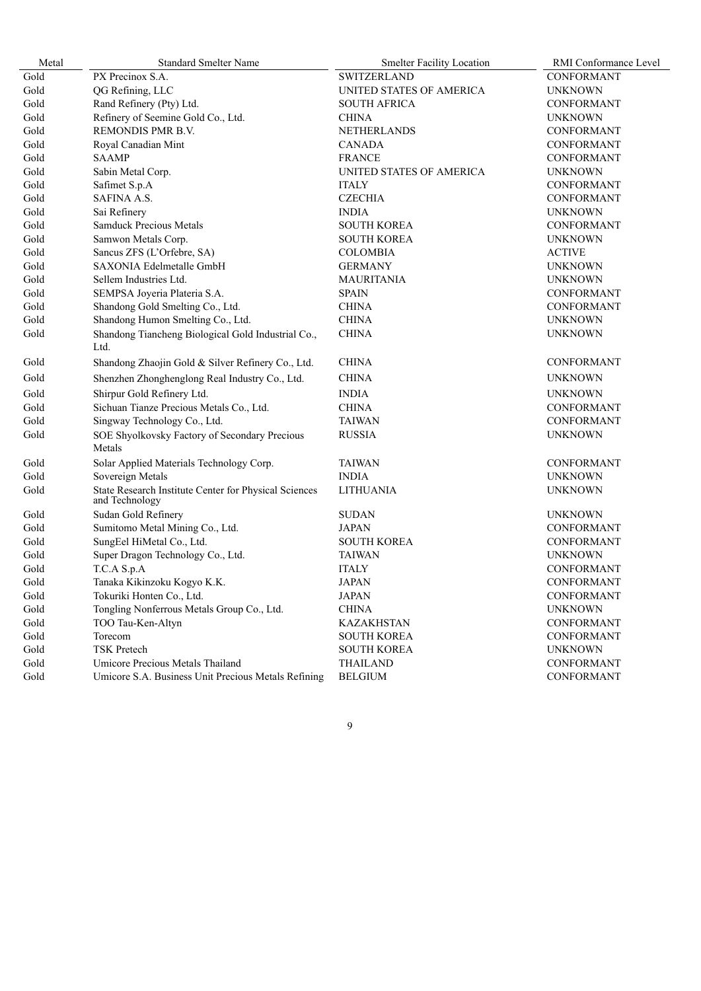| Metal | <b>Standard Smelter Name</b>                                            | <b>Smelter Facility Location</b> | RMI Conformance Level |
|-------|-------------------------------------------------------------------------|----------------------------------|-----------------------|
| Gold  | PX Precinox S.A.                                                        | <b>SWITZERLAND</b>               | CONFORMANT            |
| Gold  | QG Refining, LLC                                                        | UNITED STATES OF AMERICA         | <b>UNKNOWN</b>        |
| Gold  | Rand Refinery (Pty) Ltd.                                                | <b>SOUTH AFRICA</b>              | CONFORMANT            |
| Gold  | Refinery of Seemine Gold Co., Ltd.                                      | <b>CHINA</b>                     | <b>UNKNOWN</b>        |
| Gold  | REMONDIS PMR B.V.                                                       | NETHERLANDS                      | CONFORMANT            |
| Gold  | Royal Canadian Mint                                                     | <b>CANADA</b>                    | CONFORMANT            |
| Gold  | <b>SAAMP</b>                                                            | <b>FRANCE</b>                    | CONFORMANT            |
| Gold  | Sabin Metal Corp.                                                       | UNITED STATES OF AMERICA         | <b>UNKNOWN</b>        |
| Gold  | Safimet S.p.A                                                           | <b>ITALY</b>                     | CONFORMANT            |
| Gold  | <b>SAFINA A.S.</b>                                                      | <b>CZECHIA</b>                   | <b>CONFORMANT</b>     |
| Gold  | Sai Refinery                                                            | <b>INDIA</b>                     | <b>UNKNOWN</b>        |
| Gold  | <b>Samduck Precious Metals</b>                                          | <b>SOUTH KOREA</b>               | <b>CONFORMANT</b>     |
| Gold  | Samwon Metals Corp.                                                     | <b>SOUTH KOREA</b>               | <b>UNKNOWN</b>        |
| Gold  | Sancus ZFS (L'Orfebre, SA)                                              | <b>COLOMBIA</b>                  | <b>ACTIVE</b>         |
| Gold  | SAXONIA Edelmetalle GmbH                                                | <b>GERMANY</b>                   | <b>UNKNOWN</b>        |
| Gold  | Sellem Industries Ltd.                                                  | <b>MAURITANIA</b>                | <b>UNKNOWN</b>        |
| Gold  | SEMPSA Joyeria Plateria S.A.                                            | <b>SPAIN</b>                     | <b>CONFORMANT</b>     |
| Gold  | Shandong Gold Smelting Co., Ltd.                                        | <b>CHINA</b>                     | <b>CONFORMANT</b>     |
| Gold  | Shandong Humon Smelting Co., Ltd.                                       | <b>CHINA</b>                     | <b>UNKNOWN</b>        |
| Gold  | Shandong Tiancheng Biological Gold Industrial Co.,<br>Ltd.              | <b>CHINA</b>                     | <b>UNKNOWN</b>        |
| Gold  | Shandong Zhaojin Gold & Silver Refinery Co., Ltd.                       | <b>CHINA</b>                     | <b>CONFORMANT</b>     |
| Gold  | Shenzhen Zhonghenglong Real Industry Co., Ltd.                          | <b>CHINA</b>                     | <b>UNKNOWN</b>        |
| Gold  | Shirpur Gold Refinery Ltd.                                              | <b>INDIA</b>                     | <b>UNKNOWN</b>        |
| Gold  | Sichuan Tianze Precious Metals Co., Ltd.                                | <b>CHINA</b>                     | <b>CONFORMANT</b>     |
| Gold  | Singway Technology Co., Ltd.                                            | <b>TAIWAN</b>                    | CONFORMANT            |
| Gold  | SOE Shyolkovsky Factory of Secondary Precious<br>Metals                 | <b>RUSSIA</b>                    | <b>UNKNOWN</b>        |
| Gold  | Solar Applied Materials Technology Corp.                                | <b>TAIWAN</b>                    | <b>CONFORMANT</b>     |
| Gold  | Sovereign Metals                                                        | <b>INDIA</b>                     | <b>UNKNOWN</b>        |
| Gold  | State Research Institute Center for Physical Sciences<br>and Technology | <b>LITHUANIA</b>                 | <b>UNKNOWN</b>        |
| Gold  | Sudan Gold Refinery                                                     | <b>SUDAN</b>                     | <b>UNKNOWN</b>        |
| Gold  | Sumitomo Metal Mining Co., Ltd.                                         | <b>JAPAN</b>                     | CONFORMANT            |
| Gold  | SungEel HiMetal Co., Ltd.                                               | <b>SOUTH KOREA</b>               | CONFORMANT            |
| Gold  | Super Dragon Technology Co., Ltd.                                       | <b>TAIWAN</b>                    | <b>UNKNOWN</b>        |
| Gold  | T.C.A S.p.A                                                             | <b>ITALY</b>                     | CONFORMANT            |
| Gold  | Tanaka Kikinzoku Kogyo K.K.                                             | <b>JAPAN</b>                     | CONFORMANT            |
| Gold  | Tokuriki Honten Co., Ltd.                                               | <b>JAPAN</b>                     | CONFORMANT            |
| Gold  | Tongling Nonferrous Metals Group Co., Ltd.                              | <b>CHINA</b>                     | <b>UNKNOWN</b>        |
| Gold  | TOO Tau-Ken-Altyn                                                       | <b>KAZAKHSTAN</b>                | CONFORMANT            |
| Gold  | Torecom                                                                 | <b>SOUTH KOREA</b>               | CONFORMANT            |
| Gold  | <b>TSK Pretech</b>                                                      | <b>SOUTH KOREA</b>               | <b>UNKNOWN</b>        |
| Gold  | Umicore Precious Metals Thailand                                        | <b>THAILAND</b>                  | CONFORMANT            |
| Gold  | Umicore S.A. Business Unit Precious Metals Refining                     | <b>BELGIUM</b>                   | CONFORMANT            |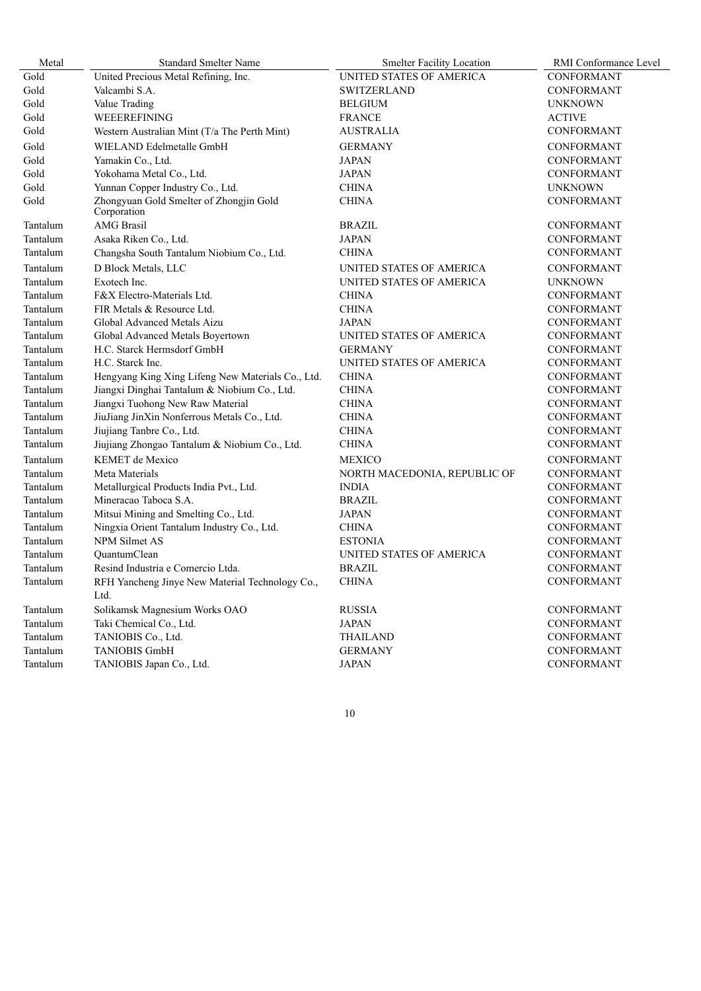| Metal    | <b>Standard Smelter Name</b>                            | <b>Smelter Facility Location</b> | <b>RMI</b> Conformance Level |
|----------|---------------------------------------------------------|----------------------------------|------------------------------|
| Gold     | United Precious Metal Refining, Inc.                    | UNITED STATES OF AMERICA         | CONFORMANT                   |
| Gold     | Valcambi S.A.                                           | <b>SWITZERLAND</b>               | <b>CONFORMANT</b>            |
| Gold     | Value Trading                                           | <b>BELGIUM</b>                   | <b>UNKNOWN</b>               |
| Gold     | WEEEREFINING                                            | <b>FRANCE</b>                    | <b>ACTIVE</b>                |
| Gold     | Western Australian Mint (T/a The Perth Mint)            | AUSTRALIA                        | <b>CONFORMANT</b>            |
| Gold     | WIELAND Edelmetalle GmbH                                | <b>GERMANY</b>                   | <b>CONFORMANT</b>            |
| Gold     | Yamakin Co., Ltd.                                       | <b>JAPAN</b>                     | <b>CONFORMANT</b>            |
| Gold     | Yokohama Metal Co., Ltd.                                | JAPAN                            | <b>CONFORMANT</b>            |
| Gold     | Yunnan Copper Industry Co., Ltd.                        | <b>CHINA</b>                     | <b>UNKNOWN</b>               |
| Gold     | Zhongyuan Gold Smelter of Zhongjin Gold<br>Corporation  | <b>CHINA</b>                     | CONFORMANT                   |
| Tantalum | <b>AMG</b> Brasil                                       | <b>BRAZIL</b>                    | CONFORMANT                   |
| Tantalum | Asaka Riken Co., Ltd.                                   | JAPAN                            | <b>CONFORMANT</b>            |
| Tantalum | Changsha South Tantalum Niobium Co., Ltd.               | <b>CHINA</b>                     | CONFORMANT                   |
| Tantalum | D Block Metals, LLC                                     | UNITED STATES OF AMERICA         | CONFORMANT                   |
| Tantalum | Exotech Inc.                                            | UNITED STATES OF AMERICA         | <b>UNKNOWN</b>               |
| Tantalum | F&X Electro-Materials Ltd.                              | <b>CHINA</b>                     | CONFORMANT                   |
| Tantalum | FIR Metals & Resource Ltd.                              | <b>CHINA</b>                     | CONFORMANT                   |
| Tantalum | Global Advanced Metals Aizu                             | JAPAN                            | <b>CONFORMANT</b>            |
| Tantalum | Global Advanced Metals Boyertown                        | UNITED STATES OF AMERICA         | CONFORMANT                   |
| Tantalum | H.C. Starck Hermsdorf GmbH                              | <b>GERMANY</b>                   | <b>CONFORMANT</b>            |
| Tantalum | H.C. Starck Inc.                                        | UNITED STATES OF AMERICA         | <b>CONFORMANT</b>            |
| Tantalum | Hengyang King Xing Lifeng New Materials Co., Ltd.       | <b>CHINA</b>                     | CONFORMANT                   |
| Tantalum | Jiangxi Dinghai Tantalum & Niobium Co., Ltd.            | <b>CHINA</b>                     | <b>CONFORMANT</b>            |
| Tantalum | Jiangxi Tuohong New Raw Material                        | <b>CHINA</b>                     | CONFORMANT                   |
| Tantalum | JiuJiang JinXin Nonferrous Metals Co., Ltd.             | <b>CHINA</b>                     | CONFORMANT                   |
| Tantalum | Jiujiang Tanbre Co., Ltd.                               | <b>CHINA</b>                     | <b>CONFORMANT</b>            |
| Tantalum | Jiujiang Zhongao Tantalum & Niobium Co., Ltd.           | <b>CHINA</b>                     | CONFORMANT                   |
| Tantalum | <b>KEMET</b> de Mexico                                  | <b>MEXICO</b>                    | <b>CONFORMANT</b>            |
| Tantalum | Meta Materials                                          | NORTH MACEDONIA, REPUBLIC OF     | <b>CONFORMANT</b>            |
| Tantalum | Metallurgical Products India Pvt., Ltd.                 | <b>INDIA</b>                     | CONFORMANT                   |
| Tantalum | Mineracao Taboca S.A.                                   | <b>BRAZIL</b>                    | CONFORMANT                   |
| Tantalum | Mitsui Mining and Smelting Co., Ltd.                    | JAPAN                            | <b>CONFORMANT</b>            |
| Tantalum | Ningxia Orient Tantalum Industry Co., Ltd.              | <b>CHINA</b>                     | CONFORMANT                   |
| Tantalum | NPM Silmet AS                                           | <b>ESTONIA</b>                   | <b>CONFORMANT</b>            |
| Tantalum | <b>OuantumClean</b>                                     | UNITED STATES OF AMERICA         | <b>CONFORMANT</b>            |
| Tantalum | Resind Industria e Comercio Ltda.                       | <b>BRAZIL</b>                    | CONFORMANT                   |
| Tantalum | RFH Yancheng Jinye New Material Technology Co.,<br>Ltd. | <b>CHINA</b>                     | <b>CONFORMANT</b>            |
| Tantalum | Solikamsk Magnesium Works OAO                           | <b>RUSSIA</b>                    | <b>CONFORMANT</b>            |
| Tantalum | Taki Chemical Co., Ltd.                                 | <b>JAPAN</b>                     | CONFORMANT                   |
| Tantalum | TANIOBIS Co., Ltd.                                      | THAILAND                         | <b>CONFORMANT</b>            |
| Tantalum | <b>TANIOBIS GmbH</b>                                    | <b>GERMANY</b>                   | CONFORMANT                   |
| Tantalum | TANIOBIS Japan Co., Ltd.                                | <b>JAPAN</b>                     | CONFORMANT                   |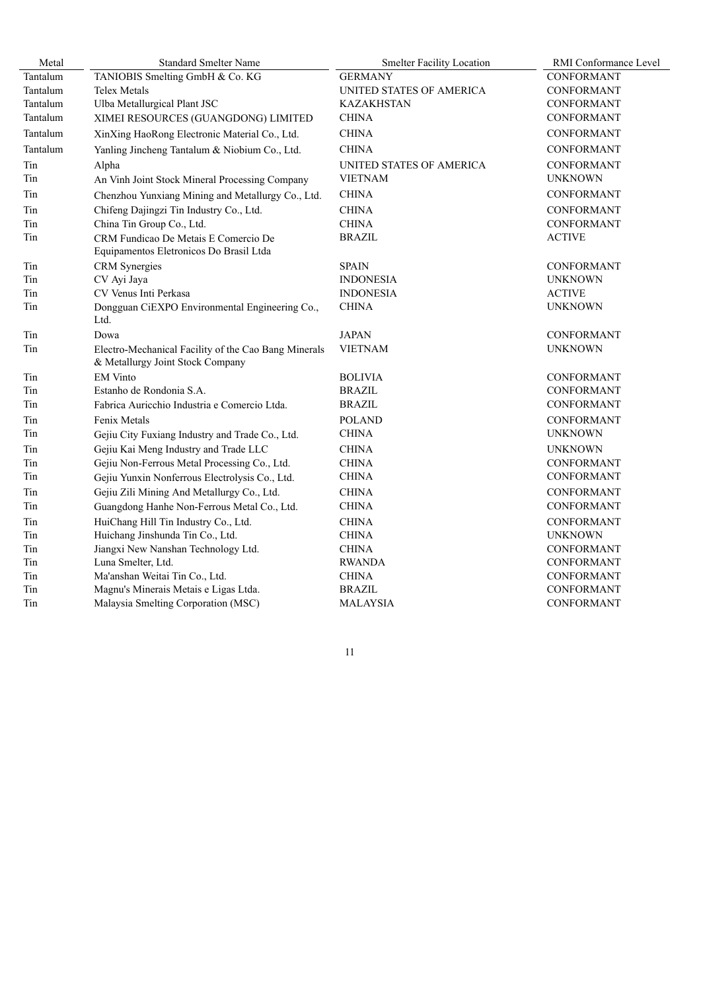| Metal    | <b>Standard Smelter Name</b>                                                             | <b>Smelter Facility Location</b> | RMI Conformance Level |
|----------|------------------------------------------------------------------------------------------|----------------------------------|-----------------------|
| Tantalum | TANIOBIS Smelting GmbH & Co. KG                                                          | <b>GERMANY</b>                   | <b>CONFORMANT</b>     |
| Tantalum | <b>Telex Metals</b>                                                                      | UNITED STATES OF AMERICA         | <b>CONFORMANT</b>     |
| Tantalum | Ulba Metallurgical Plant JSC                                                             | <b>KAZAKHSTAN</b>                | <b>CONFORMANT</b>     |
| Tantalum | XIMEI RESOURCES (GUANGDONG) LIMITED                                                      | <b>CHINA</b>                     | CONFORMANT            |
| Tantalum | XinXing HaoRong Electronic Material Co., Ltd.                                            | <b>CHINA</b>                     | <b>CONFORMANT</b>     |
| Tantalum | Yanling Jincheng Tantalum & Niobium Co., Ltd.                                            | <b>CHINA</b>                     | CONFORMANT            |
| Tin      | Alpha                                                                                    | UNITED STATES OF AMERICA         | CONFORMANT            |
| Tin      | An Vinh Joint Stock Mineral Processing Company                                           | <b>VIETNAM</b>                   | <b>UNKNOWN</b>        |
| Tin      | Chenzhou Yunxiang Mining and Metallurgy Co., Ltd.                                        | <b>CHINA</b>                     | CONFORMANT            |
| Tin      | Chifeng Dajingzi Tin Industry Co., Ltd.                                                  | <b>CHINA</b>                     | <b>CONFORMANT</b>     |
| Tin      | China Tin Group Co., Ltd.                                                                | <b>CHINA</b>                     | CONFORMANT            |
| Tin      | CRM Fundicao De Metais E Comercio De<br>Equipamentos Eletronicos Do Brasil Ltda          | <b>BRAZIL</b>                    | <b>ACTIVE</b>         |
| Tin      | <b>CRM</b> Synergies                                                                     | <b>SPAIN</b>                     | <b>CONFORMANT</b>     |
| Tin      | CV Ayi Jaya                                                                              | <b>INDONESIA</b>                 | <b>UNKNOWN</b>        |
| Tin      | CV Venus Inti Perkasa                                                                    | <b>INDONESIA</b>                 | <b>ACTIVE</b>         |
| Tin      | Dongguan CiEXPO Environmental Engineering Co.,<br>Ltd.                                   | <b>CHINA</b>                     | <b>UNKNOWN</b>        |
| Tin      | Dowa                                                                                     | <b>JAPAN</b>                     | CONFORMANT            |
| Tin      | Electro-Mechanical Facility of the Cao Bang Minerals<br>& Metallurgy Joint Stock Company | <b>VIETNAM</b>                   | <b>UNKNOWN</b>        |
| Tin      | <b>EM Vinto</b>                                                                          | <b>BOLIVIA</b>                   | <b>CONFORMANT</b>     |
| Tin      | Estanho de Rondonia S.A.                                                                 | <b>BRAZIL</b>                    | <b>CONFORMANT</b>     |
| Tin      | Fabrica Auricchio Industria e Comercio Ltda.                                             | <b>BRAZIL</b>                    | <b>CONFORMANT</b>     |
| Tin      | Fenix Metals                                                                             | <b>POLAND</b>                    | CONFORMANT            |
| Tin      | Gejiu City Fuxiang Industry and Trade Co., Ltd.                                          | <b>CHINA</b>                     | <b>UNKNOWN</b>        |
| Tin      | Gejiu Kai Meng Industry and Trade LLC                                                    | <b>CHINA</b>                     | <b>UNKNOWN</b>        |
| Tin      | Gejiu Non-Ferrous Metal Processing Co., Ltd.                                             | <b>CHINA</b>                     | CONFORMANT            |
| Tin      | Gejiu Yunxin Nonferrous Electrolysis Co., Ltd.                                           | <b>CHINA</b>                     | <b>CONFORMANT</b>     |
| Tin      | Gejiu Zili Mining And Metallurgy Co., Ltd.                                               | <b>CHINA</b>                     | <b>CONFORMANT</b>     |
| Tin      | Guangdong Hanhe Non-Ferrous Metal Co., Ltd.                                              | <b>CHINA</b>                     | <b>CONFORMANT</b>     |
| Tin      | HuiChang Hill Tin Industry Co., Ltd.                                                     | <b>CHINA</b>                     | <b>CONFORMANT</b>     |
| Tin      | Huichang Jinshunda Tin Co., Ltd.                                                         | <b>CHINA</b>                     | <b>UNKNOWN</b>        |
| Tin      | Jiangxi New Nanshan Technology Ltd.                                                      | <b>CHINA</b>                     | CONFORMANT            |
| Tin      | Luna Smelter, Ltd.                                                                       | <b>RWANDA</b>                    | <b>CONFORMANT</b>     |
| Tin      | Ma'anshan Weitai Tin Co., Ltd.                                                           | <b>CHINA</b>                     | <b>CONFORMANT</b>     |
| Tin      | Magnu's Minerais Metais e Ligas Ltda.                                                    | <b>BRAZIL</b>                    | CONFORMANT            |
| Tin      | Malaysia Smelting Corporation (MSC)                                                      | <b>MALAYSIA</b>                  | CONFORMANT            |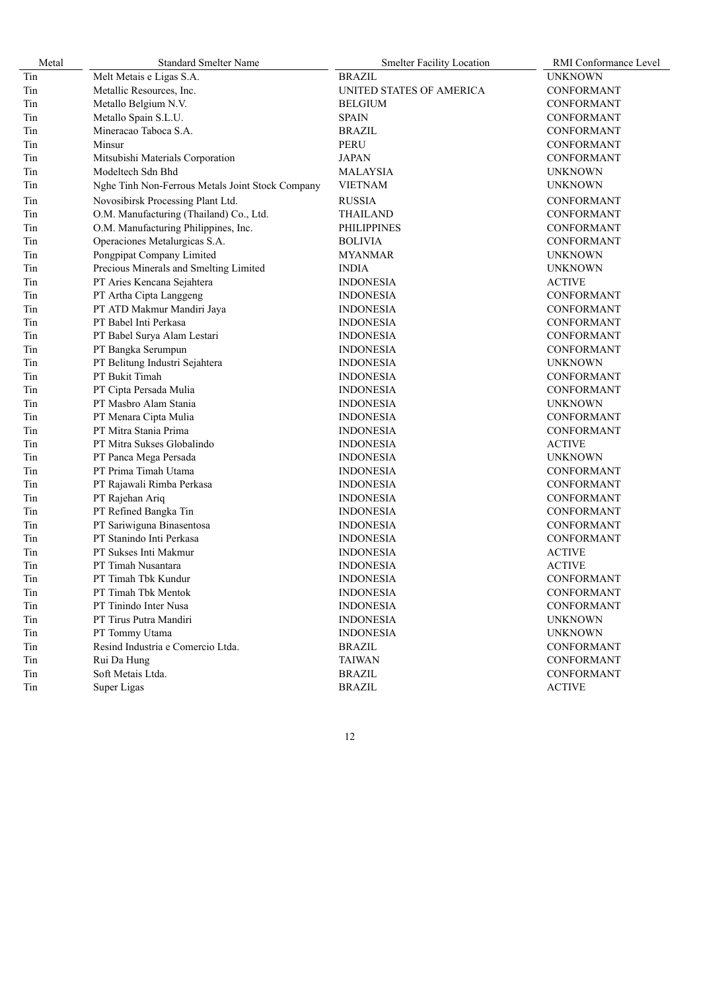| Metal | <b>Standard Smelter Name</b>                     | <b>Smelter Facility Location</b> | RMI Conformance Level |
|-------|--------------------------------------------------|----------------------------------|-----------------------|
| Tin   | Melt Metais e Ligas S.A.                         | <b>BRAZIL</b>                    | <b>UNKNOWN</b>        |
| Tin   | Metallic Resources, Inc.                         | UNITED STATES OF AMERICA         | <b>CONFORMANT</b>     |
| Tin   | Metallo Belgium N.V.                             | <b>BELGIUM</b>                   | CONFORMANT            |
| Tin   | Metallo Spain S.L.U.                             | <b>SPAIN</b>                     | <b>CONFORMANT</b>     |
| Tin   | Mineracao Taboca S.A.                            | <b>BRAZIL</b>                    | <b>CONFORMANT</b>     |
| Tin   | Minsur                                           | <b>PERU</b>                      | <b>CONFORMANT</b>     |
| Tin   | Mitsubishi Materials Corporation                 | <b>JAPAN</b>                     | <b>CONFORMANT</b>     |
| Tin   | Modeltech Sdn Bhd                                | <b>MALAYSIA</b>                  | <b>UNKNOWN</b>        |
| Tin   | Nghe Tinh Non-Ferrous Metals Joint Stock Company | <b>VIETNAM</b>                   | <b>UNKNOWN</b>        |
| Tin   | Novosibirsk Processing Plant Ltd.                | <b>RUSSIA</b>                    | <b>CONFORMANT</b>     |
| Tin   | O.M. Manufacturing (Thailand) Co., Ltd.          | <b>THAILAND</b>                  | <b>CONFORMANT</b>     |
| Tin   | O.M. Manufacturing Philippines, Inc.             | <b>PHILIPPINES</b>               | <b>CONFORMANT</b>     |
| Tin   | Operaciones Metalurgicas S.A.                    | <b>BOLIVIA</b>                   | <b>CONFORMANT</b>     |
| Tin   | Pongpipat Company Limited                        | MYANMAR                          | <b>UNKNOWN</b>        |
| Tin   | Precious Minerals and Smelting Limited           | <b>INDIA</b>                     | <b>UNKNOWN</b>        |
| Tin   | PT Aries Kencana Sejahtera                       | <b>INDONESIA</b>                 | <b>ACTIVE</b>         |
| Tin   | PT Artha Cipta Langgeng                          | <b>INDONESIA</b>                 | <b>CONFORMANT</b>     |
| Tin   | PT ATD Makmur Mandiri Jaya                       | <b>INDONESIA</b>                 | <b>CONFORMANT</b>     |
| Tin   | PT Babel Inti Perkasa                            | <b>INDONESIA</b>                 | CONFORMANT            |
| Tin   | PT Babel Surya Alam Lestari                      | <b>INDONESIA</b>                 | CONFORMANT            |
| Tin   | PT Bangka Serumpun                               | <b>INDONESIA</b>                 | <b>CONFORMANT</b>     |
| Tin   | PT Belitung Industri Sejahtera                   | <b>INDONESIA</b>                 | <b>UNKNOWN</b>        |
| Tin   | PT Bukit Timah                                   | <b>INDONESIA</b>                 | <b>CONFORMANT</b>     |
| Tin   | PT Cipta Persada Mulia                           | <b>INDONESIA</b>                 | <b>CONFORMANT</b>     |
| Tin   | PT Masbro Alam Stania                            | <b>INDONESIA</b>                 | <b>UNKNOWN</b>        |
| Tin   | PT Menara Cipta Mulia                            | <b>INDONESIA</b>                 | <b>CONFORMANT</b>     |
| Tin   | PT Mitra Stania Prima                            | <b>INDONESIA</b>                 | CONFORMANT            |
| Tin   | PT Mitra Sukses Globalindo                       | <b>INDONESIA</b>                 | <b>ACTIVE</b>         |
| Tin   | PT Panca Mega Persada                            | <b>INDONESIA</b>                 | <b>UNKNOWN</b>        |
| Tin   | PT Prima Timah Utama                             | <b>INDONESIA</b>                 | <b>CONFORMANT</b>     |
| Tin   | PT Rajawali Rimba Perkasa                        | <b>INDONESIA</b>                 | <b>CONFORMANT</b>     |
| Tin   | PT Rajehan Ariq                                  | <b>INDONESIA</b>                 | <b>CONFORMANT</b>     |
| Tin   | PT Refined Bangka Tin                            | <b>INDONESIA</b>                 | <b>CONFORMANT</b>     |
| Tin   | PT Sariwiguna Binasentosa                        | <b>INDONESIA</b>                 | <b>CONFORMANT</b>     |
| Tin   | PT Stanindo Inti Perkasa                         | <b>INDONESIA</b>                 | CONFORMANT            |
| Tin   | PT Sukses Inti Makmur                            | <b>INDONESIA</b>                 | <b>ACTIVE</b>         |
| Tin   | PT Timah Nusantara                               | <b>INDONESIA</b>                 | <b>ACTIVE</b>         |
| Tin   | PT Timah Tbk Kundur                              | <b>INDONESIA</b>                 | <b>CONFORMANT</b>     |
| Tin   | PT Timah Tbk Mentok                              | <b>INDONESIA</b>                 | CONFORMANT            |
| Tin   | PT Tinindo Inter Nusa                            | <b>INDONESIA</b>                 | CONFORMANT            |
| Tin   | PT Tirus Putra Mandiri                           | <b>INDONESIA</b>                 | <b>UNKNOWN</b>        |
| Tin   | PT Tommy Utama                                   | <b>INDONESIA</b>                 | <b>UNKNOWN</b>        |
| Tin   | Resind Industria e Comercio Ltda.                | <b>BRAZIL</b>                    | CONFORMANT            |
| Tin   | Rui Da Hung                                      | <b>TAIWAN</b>                    | CONFORMANT            |
| Tin   | Soft Metais Ltda.                                | <b>BRAZIL</b>                    | CONFORMANT            |
| Tin   | Super Ligas                                      | <b>BRAZIL</b>                    | <b>ACTIVE</b>         |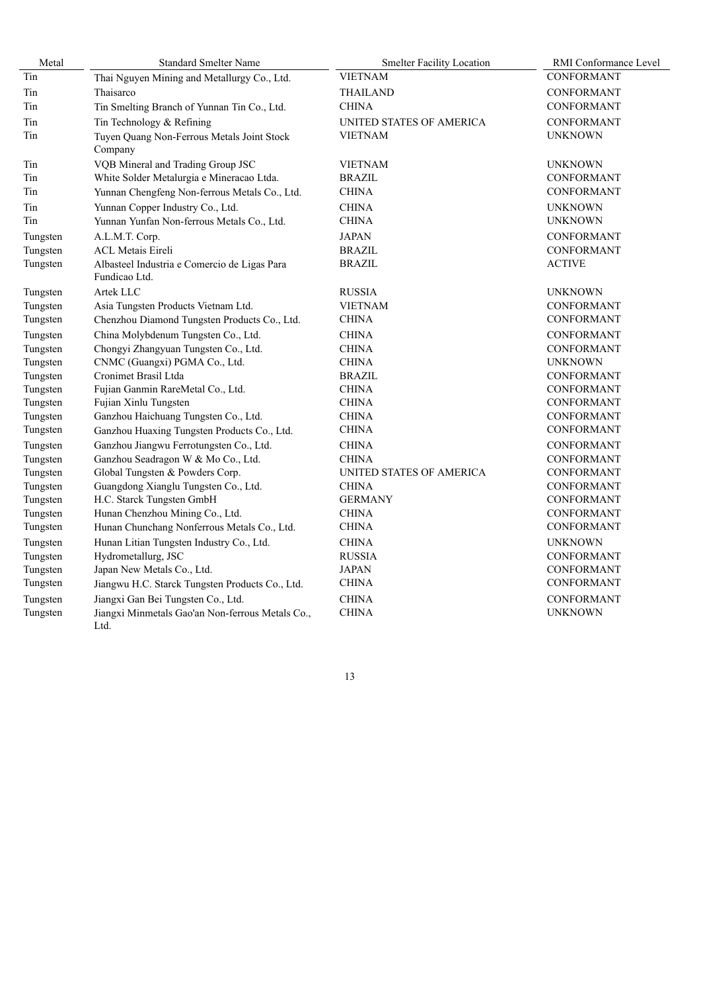| Metal    | <b>Standard Smelter Name</b>                                  | <b>Smelter Facility Location</b> | RMI Conformance Level |
|----------|---------------------------------------------------------------|----------------------------------|-----------------------|
| Tin      | Thai Nguyen Mining and Metallurgy Co., Ltd.                   | <b>VIETNAM</b>                   | CONFORMANT            |
| Tin      | Thaisarco                                                     | <b>THAILAND</b>                  | <b>CONFORMANT</b>     |
| Tin      | Tin Smelting Branch of Yunnan Tin Co., Ltd.                   | <b>CHINA</b>                     | CONFORMANT            |
| Tin      | Tin Technology & Refining                                     | UNITED STATES OF AMERICA         | <b>CONFORMANT</b>     |
| Tin      | Tuyen Quang Non-Ferrous Metals Joint Stock<br>Company         | VIETNAM                          | <b>UNKNOWN</b>        |
| Tin      | VQB Mineral and Trading Group JSC                             | <b>VIETNAM</b>                   | <b>UNKNOWN</b>        |
| Tin      | White Solder Metalurgia e Mineracao Ltda.                     | BRAZIL                           | <b>CONFORMANT</b>     |
| Tin      | Yunnan Chengfeng Non-ferrous Metals Co., Ltd.                 | <b>CHINA</b>                     | <b>CONFORMANT</b>     |
| Tin      | Yunnan Copper Industry Co., Ltd.                              | <b>CHINA</b>                     | <b>UNKNOWN</b>        |
| Tin      | Yunnan Yunfan Non-ferrous Metals Co., Ltd.                    | <b>CHINA</b>                     | <b>UNKNOWN</b>        |
| Tungsten | A.L.M.T. Corp.                                                | <b>JAPAN</b>                     | <b>CONFORMANT</b>     |
| Tungsten | <b>ACL Metais Eireli</b>                                      | <b>BRAZIL</b>                    | <b>CONFORMANT</b>     |
| Tungsten | Albasteel Industria e Comercio de Ligas Para<br>Fundicao Ltd. | <b>BRAZIL</b>                    | <b>ACTIVE</b>         |
| Tungsten | Artek LLC                                                     | <b>RUSSIA</b>                    | <b>UNKNOWN</b>        |
| Tungsten | Asia Tungsten Products Vietnam Ltd.                           | <b>VIETNAM</b>                   | CONFORMANT            |
| Tungsten | Chenzhou Diamond Tungsten Products Co., Ltd.                  | <b>CHINA</b>                     | <b>CONFORMANT</b>     |
| Tungsten | China Molybdenum Tungsten Co., Ltd.                           | <b>CHINA</b>                     | <b>CONFORMANT</b>     |
| Tungsten | Chongyi Zhangyuan Tungsten Co., Ltd.                          | <b>CHINA</b>                     | CONFORMANT            |
| Tungsten | CNMC (Guangxi) PGMA Co., Ltd.                                 | <b>CHINA</b>                     | <b>UNKNOWN</b>        |
| Tungsten | Cronimet Brasil Ltda                                          | BRAZIL                           | CONFORMANT            |
| Tungsten | Fujian Ganmin RareMetal Co., Ltd.                             | <b>CHINA</b>                     | <b>CONFORMANT</b>     |
| Tungsten | Fujian Xinlu Tungsten                                         | <b>CHINA</b>                     | CONFORMANT            |
| Tungsten | Ganzhou Haichuang Tungsten Co., Ltd.                          | <b>CHINA</b>                     | <b>CONFORMANT</b>     |
| Tungsten | Ganzhou Huaxing Tungsten Products Co., Ltd.                   | <b>CHINA</b>                     | CONFORMANT            |
| Tungsten | Ganzhou Jiangwu Ferrotungsten Co., Ltd.                       | <b>CHINA</b>                     | <b>CONFORMANT</b>     |
| Tungsten | Ganzhou Seadragon W & Mo Co., Ltd.                            | <b>CHINA</b>                     | <b>CONFORMANT</b>     |
| Tungsten | Global Tungsten & Powders Corp.                               | UNITED STATES OF AMERICA         | CONFORMANT            |
| Tungsten | Guangdong Xianglu Tungsten Co., Ltd.                          | CHINA                            | <b>CONFORMANT</b>     |
| Tungsten | H.C. Starck Tungsten GmbH                                     | <b>GERMANY</b>                   | CONFORMANT            |
| Tungsten | Hunan Chenzhou Mining Co., Ltd.                               | CHINA                            | CONFORMANT            |
| Tungsten | Hunan Chunchang Nonferrous Metals Co., Ltd.                   | CHINA                            | CONFORMANT            |
| Tungsten | Hunan Litian Tungsten Industry Co., Ltd.                      | <b>CHINA</b>                     | <b>UNKNOWN</b>        |
| Tungsten | Hydrometallurg, JSC                                           | RUSSIA                           | <b>CONFORMANT</b>     |
| Tungsten | Japan New Metals Co., Ltd.                                    | <b>JAPAN</b>                     | CONFORMANT            |
| Tungsten | Jiangwu H.C. Starck Tungsten Products Co., Ltd.               | <b>CHINA</b>                     | <b>CONFORMANT</b>     |
| Tungsten | Jiangxi Gan Bei Tungsten Co., Ltd.                            | <b>CHINA</b>                     | <b>CONFORMANT</b>     |
| Tungsten | Jiangxi Minmetals Gao'an Non-ferrous Metals Co.,<br>Ltd.      | <b>CHINA</b>                     | <b>UNKNOWN</b>        |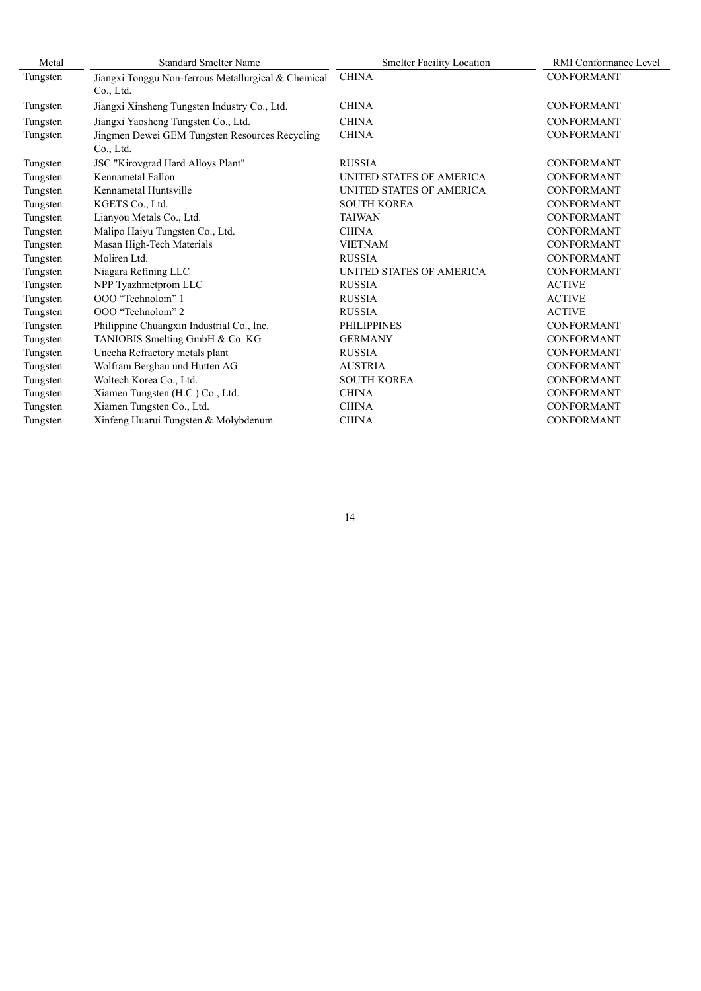| Metal    | <b>Standard Smelter Name</b>                                     | <b>Smelter Facility Location</b> | <b>RMI</b> Conformance Level |
|----------|------------------------------------------------------------------|----------------------------------|------------------------------|
| Tungsten | Jiangxi Tonggu Non-ferrous Metallurgical & Chemical<br>Co., Ltd. | <b>CHINA</b>                     | <b>CONFORMANT</b>            |
| Tungsten | Jiangxi Xinsheng Tungsten Industry Co., Ltd.                     | <b>CHINA</b>                     | <b>CONFORMANT</b>            |
| Tungsten | Jiangxi Yaosheng Tungsten Co., Ltd.                              | <b>CHINA</b>                     | <b>CONFORMANT</b>            |
| Tungsten | Jingmen Dewei GEM Tungsten Resources Recycling<br>Co., Ltd.      | <b>CHINA</b>                     | <b>CONFORMANT</b>            |
| Tungsten | JSC "Kirovgrad Hard Alloys Plant"                                | <b>RUSSIA</b>                    | <b>CONFORMANT</b>            |
| Tungsten | Kennametal Fallon                                                | <b>UNITED STATES OF AMERICA</b>  | <b>CONFORMANT</b>            |
| Tungsten | Kennametal Huntsville                                            | UNITED STATES OF AMERICA         | <b>CONFORMANT</b>            |
| Tungsten | KGETS Co., Ltd.                                                  | <b>SOUTH KOREA</b>               | <b>CONFORMANT</b>            |
| Tungsten | Lianyou Metals Co., Ltd.                                         | <b>TAIWAN</b>                    | <b>CONFORMANT</b>            |
| Tungsten | Malipo Haiyu Tungsten Co., Ltd.                                  | <b>CHINA</b>                     | <b>CONFORMANT</b>            |
| Tungsten | Masan High-Tech Materials                                        | <b>VIETNAM</b>                   | <b>CONFORMANT</b>            |
| Tungsten | Moliren Ltd.                                                     | <b>RUSSIA</b>                    | <b>CONFORMANT</b>            |
| Tungsten | Niagara Refining LLC                                             | UNITED STATES OF AMERICA         | <b>CONFORMANT</b>            |
| Tungsten | NPP Tyazhmetprom LLC                                             | <b>RUSSIA</b>                    | <b>ACTIVE</b>                |
| Tungsten | OOO "Technolom" 1                                                | <b>RUSSIA</b>                    | <b>ACTIVE</b>                |
| Tungsten | OOO "Technolom" 2                                                | <b>RUSSIA</b>                    | <b>ACTIVE</b>                |
| Tungsten | Philippine Chuangxin Industrial Co., Inc.                        | <b>PHILIPPINES</b>               | <b>CONFORMANT</b>            |
| Tungsten | TANIOBIS Smelting GmbH & Co. KG                                  | <b>GERMANY</b>                   | <b>CONFORMANT</b>            |
| Tungsten | Unecha Refractory metals plant                                   | <b>RUSSIA</b>                    | <b>CONFORMANT</b>            |
| Tungsten | Wolfram Bergbau und Hutten AG                                    | <b>AUSTRIA</b>                   | <b>CONFORMANT</b>            |
| Tungsten | Woltech Korea Co., Ltd.                                          | <b>SOUTH KOREA</b>               | <b>CONFORMANT</b>            |
| Tungsten | Xiamen Tungsten (H.C.) Co., Ltd.                                 | <b>CHINA</b>                     | <b>CONFORMANT</b>            |
| Tungsten | Xiamen Tungsten Co., Ltd.                                        | <b>CHINA</b>                     | <b>CONFORMANT</b>            |
| Tungsten | Xinfeng Huarui Tungsten & Molybdenum                             | <b>CHINA</b>                     | <b>CONFORMANT</b>            |